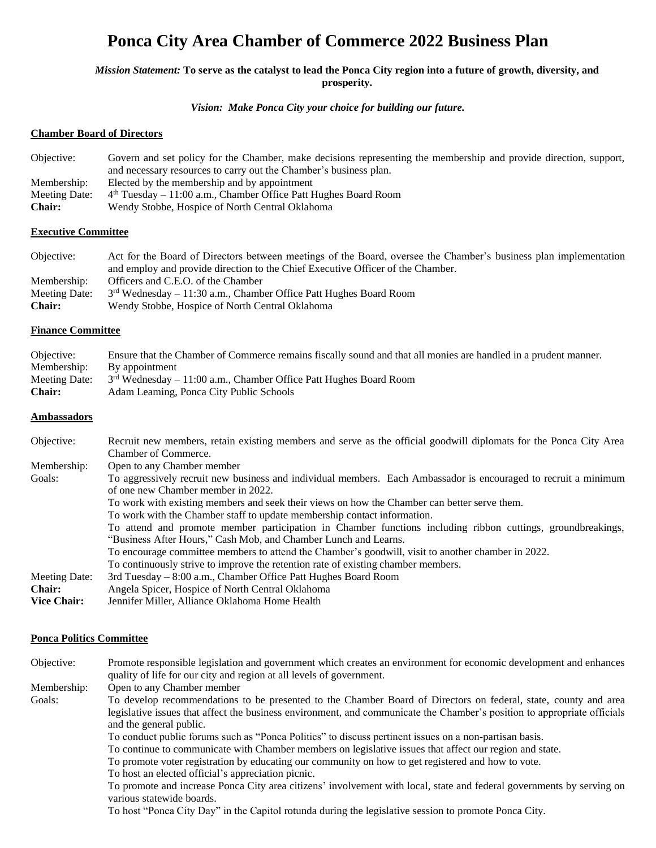# **Ponca City Area Chamber of Commerce 2022 Business Plan**

*Mission Statement:* **To serve as the catalyst to lead the Ponca City region into a future of growth, diversity, and prosperity.**

#### *Vision: Make Ponca City your choice for building our future.*

### **Chamber Board of Directors**

| Objective:    | Govern and set policy for the Chamber, make decisions representing the membership and provide direction, support, |
|---------------|-------------------------------------------------------------------------------------------------------------------|
|               | and necessary resources to carry out the Chamber's business plan.                                                 |
| Membership:   | Elected by the membership and by appointment                                                                      |
| Meeting Date: | $4th$ Tuesday – 11:00 a.m., Chamber Office Patt Hughes Board Room                                                 |
| <b>Chair:</b> | Wendy Stobbe, Hospice of North Central Oklahoma                                                                   |
|               |                                                                                                                   |

### **Executive Committee**

Objective: Act for the Board of Directors between meetings of the Board, oversee the Chamber's business plan implementation and employ and provide direction to the Chief Executive Officer of the Chamber. Membership: Officers and C.E.O. of the Chamber Meeting Date:  $3<sup>rd</sup>$  Wednesday – 11:30 a.m., Chamber Office Patt Hughes Board Room

**Chair:** Wendy Stobbe, Hospice of North Central Oklahoma

### **Finance Committee**

| Objective:    | Ensure that the Chamber of Commerce remains fiscally sound and that all monies are handled in a prudent manner. |
|---------------|-----------------------------------------------------------------------------------------------------------------|
| Membership:   | By appointment                                                                                                  |
|               | Meeting Date: $3^{rd}$ Wednesday – 11:00 a.m., Chamber Office Patt Hughes Board Room                            |
| <b>Chair:</b> | Adam Leaming, Ponca City Public Schools                                                                         |

### **Ambassadors**

| Objective:                                                                                                                         | Recruit new members, retain existing members and serve as the official goodwill diplomats for the Ponca City Area |  |  |
|------------------------------------------------------------------------------------------------------------------------------------|-------------------------------------------------------------------------------------------------------------------|--|--|
|                                                                                                                                    | Chamber of Commerce.                                                                                              |  |  |
| Membership:                                                                                                                        | Open to any Chamber member                                                                                        |  |  |
| Goals:                                                                                                                             | To aggressively recruit new business and individual members. Each Ambassador is encouraged to recruit a minimum   |  |  |
| of one new Chamber member in 2022.<br>To work with existing members and seek their views on how the Chamber can better serve them. |                                                                                                                   |  |  |
|                                                                                                                                    |                                                                                                                   |  |  |
|                                                                                                                                    | To attend and promote member participation in Chamber functions including ribbon cuttings, groundbreakings,       |  |  |
|                                                                                                                                    | "Business After Hours," Cash Mob, and Chamber Lunch and Learns.                                                   |  |  |
|                                                                                                                                    | To encourage committee members to attend the Chamber's goodwill, visit to another chamber in 2022.                |  |  |
|                                                                                                                                    | To continuously strive to improve the retention rate of existing chamber members.                                 |  |  |
| Meeting Date:                                                                                                                      | 3rd Tuesday – 8:00 a.m., Chamber Office Patt Hughes Board Room                                                    |  |  |
| <b>Chair:</b>                                                                                                                      | Angela Spicer, Hospice of North Central Oklahoma                                                                  |  |  |
| <b>Vice Chair:</b>                                                                                                                 | Jennifer Miller, Alliance Oklahoma Home Health                                                                    |  |  |

#### **Ponca Politics Committee**

Objective: Promote responsible legislation and government which creates an environment for economic development and enhances quality of life for our city and region at all levels of government.

Membership: Open to any Chamber member

Goals: To develop recommendations to be presented to the Chamber Board of Directors on federal, state, county and area legislative issues that affect the business environment, and communicate the Chamber's position to appropriate officials and the general public.

To conduct public forums such as "Ponca Politics" to discuss pertinent issues on a non-partisan basis.

To continue to communicate with Chamber members on legislative issues that affect our region and state.

To promote voter registration by educating our community on how to get registered and how to vote.

To host an elected official's appreciation picnic.

To promote and increase Ponca City area citizens' involvement with local, state and federal governments by serving on various statewide boards.

To host "Ponca City Day" in the Capitol rotunda during the legislative session to promote Ponca City.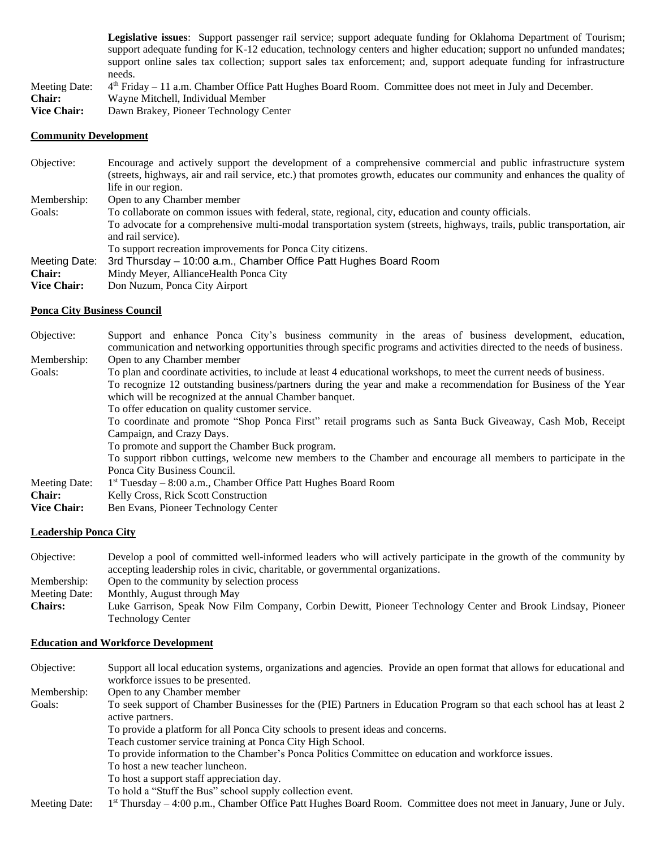**Legislative issues**: Support passenger rail service; support adequate funding for Oklahoma Department of Tourism; support adequate funding for K-12 education, technology centers and higher education; support no unfunded mandates; support online sales tax collection; support sales tax enforcement; and, support adequate funding for infrastructure needs.

Meeting Date: th Friday – 11 a.m. Chamber Office Patt Hughes Board Room. Committee does not meet in July and December.

**Chair:** Wayne Mitchell, Individual Member

**Vice Chair:** Dawn Brakey, Pioneer Technology Center

### **Community Development**

| Encourage and actively support the development of a comprehensive commercial and public infrastructure system            |  |
|--------------------------------------------------------------------------------------------------------------------------|--|
| (streets, highways, air and rail service, etc.) that promotes growth, educates our community and enhances the quality of |  |
| life in our region.                                                                                                      |  |
| Open to any Chamber member                                                                                               |  |
| To collaborate on common issues with federal, state, regional, city, education and county officials.                     |  |
| To advocate for a comprehensive multi-modal transportation system (streets, highways, trails, public transportation, air |  |
| and rail service).                                                                                                       |  |
| To support recreation improvements for Ponca City citizens.                                                              |  |
| 3rd Thursday - 10:00 a.m., Chamber Office Patt Hughes Board Room                                                         |  |
| Mindy Meyer, Alliance Health Ponca City                                                                                  |  |
| Don Nuzum, Ponca City Airport                                                                                            |  |
|                                                                                                                          |  |

### **Ponca City Business Council**

| Objective:         | Support and enhance Ponca City's business community in the areas of business development, education,                                     |  |  |  |
|--------------------|------------------------------------------------------------------------------------------------------------------------------------------|--|--|--|
|                    | communication and networking opportunities through specific programs and activities directed to the needs of business.                   |  |  |  |
| Membership:        | Open to any Chamber member                                                                                                               |  |  |  |
| Goals:             | To plan and coordinate activities, to include at least 4 educational workshops, to meet the current needs of business.                   |  |  |  |
|                    | To recognize 12 outstanding business/partners during the year and make a recommendation for Business of the Year                         |  |  |  |
|                    | which will be recognized at the annual Chamber banquet.                                                                                  |  |  |  |
|                    | To offer education on quality customer service.                                                                                          |  |  |  |
|                    | To coordinate and promote "Shop Ponca First" retail programs such as Santa Buck Giveaway, Cash Mob, Receipt<br>Campaign, and Crazy Days. |  |  |  |
|                    |                                                                                                                                          |  |  |  |
|                    | To promote and support the Chamber Buck program.                                                                                         |  |  |  |
|                    | To support ribbon cuttings, welcome new members to the Chamber and encourage all members to participate in the                           |  |  |  |
|                    | Ponca City Business Council.                                                                                                             |  |  |  |
| Meeting Date:      | $1st Tuesday – 8:00 a.m., Chamber Office Pat Hughes Board Room$                                                                          |  |  |  |
| <b>Chair:</b>      | Kelly Cross, Rick Scott Construction                                                                                                     |  |  |  |
| <b>Vice Chair:</b> | Ben Evans, Pioneer Technology Center                                                                                                     |  |  |  |

#### **Leadership Ponca City**

Objective: Develop a pool of committed well-informed leaders who will actively participate in the growth of the community by accepting leadership roles in civic, charitable, or governmental organizations. Membership: Open to the community by selection process Meeting Date: Monthly, August through May **Chairs:** Luke Garrison, Speak Now Film Company, Corbin Dewitt, Pioneer Technology Center and Brook Lindsay, Pioneer Technology Center

### **Education and Workforce Development**

| Objective:    | Support all local education systems, organizations and agencies. Provide an open format that allows for educational and                  |  |
|---------------|------------------------------------------------------------------------------------------------------------------------------------------|--|
|               | workforce issues to be presented.                                                                                                        |  |
| Membership:   | Open to any Chamber member                                                                                                               |  |
| Goals:        | To seek support of Chamber Businesses for the (PIE) Partners in Education Program so that each school has at least 2<br>active partners. |  |
|               | To provide a platform for all Ponca City schools to present ideas and concerns.                                                          |  |
|               | Teach customer service training at Ponca City High School.                                                                               |  |
|               | To provide information to the Chamber's Ponca Politics Committee on education and workforce issues.                                      |  |
|               | To host a new teacher luncheon.                                                                                                          |  |
|               | To host a support staff appreciation day.                                                                                                |  |
|               | To hold a "Stuff the Bus" school supply collection event.                                                                                |  |
| Meeting Date: | $1st$ Thursday – 4:00 p.m., Chamber Office Patt Hughes Board Room. Committee does not meet in January, June or July.                     |  |